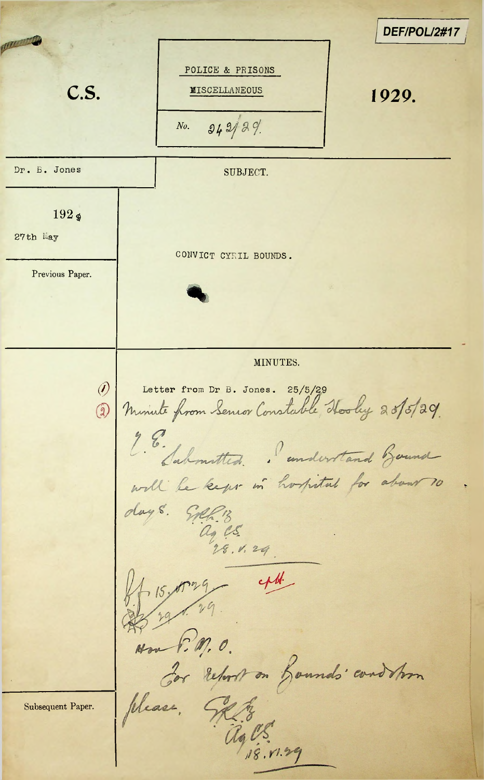*\_\_\_\_\_\_\_\_\_\_\_\_ DEF/POL/2#17\*portunity of POLICE & PRISONS C.S. MISCELLANEOUS 1929. *31^M- No.* Dr. B. Jones SUBJECT.  $192<sub>9</sub>$ 27th May CONVICT CYRIL BOUNDS. Previous Paper. MINUTES. 25/5/2.9 **(9** Letter from Dr B. Jones. 25/5/2.9 2. E. Sabonitted. I understand Gound will be kept in hospital for about 10 days. GAR13 A 15 00 29 - 44 Non 6. M. O. Hon 1. 11, V. Subsequent Paper. ages nog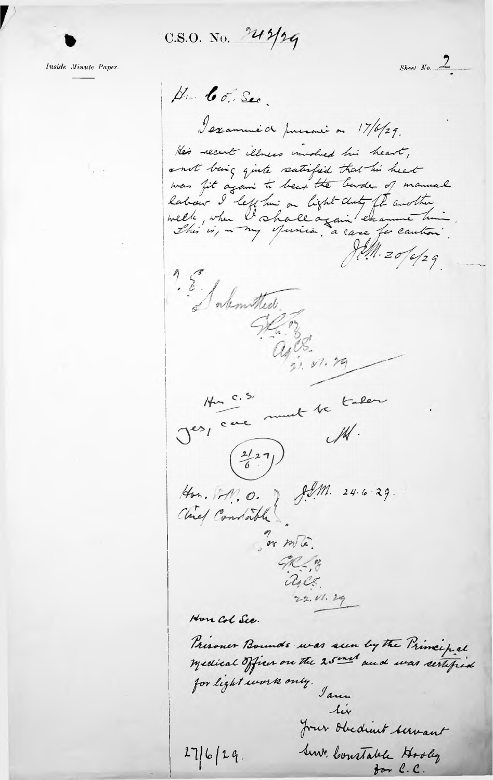C.S.O. No. 242/29

*Inside Minute Paper.*

**r**

*•) Sheet No..^—*Hun Co. Sec. I examine de present ou 17/6/29. He's recent illness involved his heart, a not being quite satisfied that his heart was fit again to bear the barder of manual labour I left hui ou light duty ft avolter.<br>welk, when I shall again enamne hui  $\frac{1}{2}$ **s"***b* - 5? **<sup>z</sup><sup>r</sup>** *yh* Jes, cac munt te talen are must te Avr. 1-11. 0. 2 J.M. 24.6.29.<br>Chief Condath *M/ UL* **'** $GC.$  $c_{4}c_{5}$  $22.11.29$ Hon Col Sec. Prisoner Bounds was seen by the Principal medical Officer on the 25 mm and was certified for light work only. Jame tix *2m^,* ^,(>t44^aA4\_  $276/29.$ **I** *(L.(L.*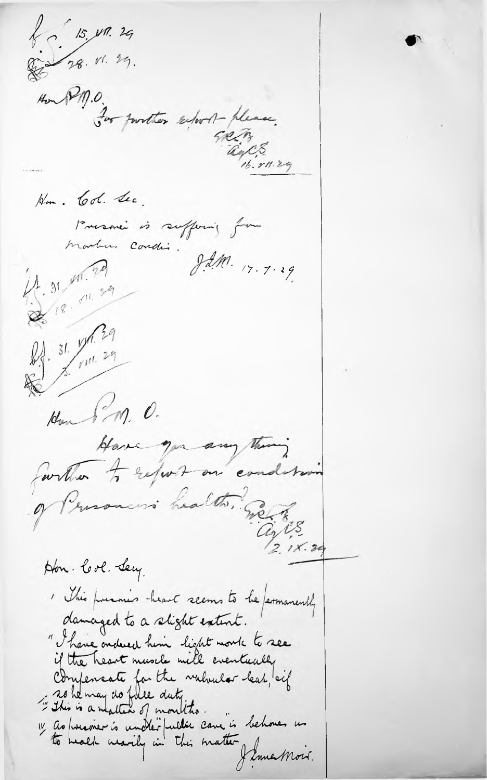$15, 17.29$ De 28. VI. 29.  $\mathscr{H}_{m}(\mathscr{V}_{\eta,0})$ For purther selort-please. GREENES , 29 Hm. Col Sec. Presenci is suffering from martin condis.  $\int dM$  17.7.29  $1.31$  M. 20 218.11.29 DA. 31. 11. 29 Hon 8m. 0. Have you any thing farther to report on condetain of Presoners health. Sect  $C_2/15$ <br>2.18.29 Hon. Col. Secy. I this funnes heart seems to be fermanently damaged to a slight extent. " There ondered him light moute to see if the heart muscle will eventually Compensate for the valualer leak, cif<br>"This is a matter of montitie. 1 ao president conclui public care is behoves un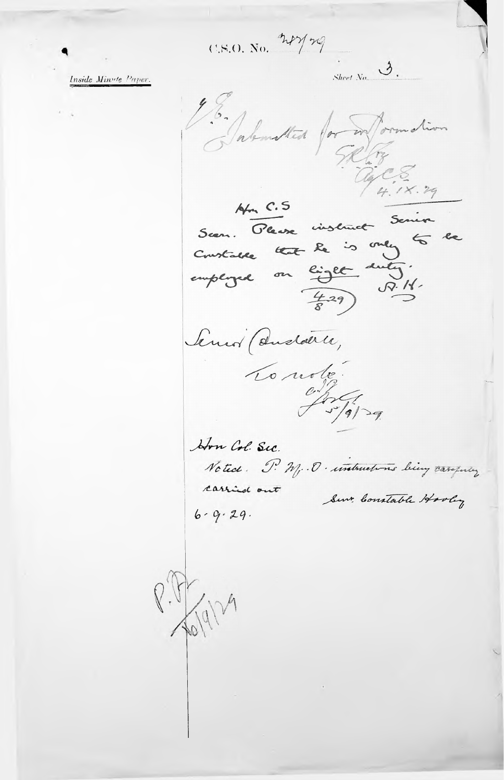CSO. No. 2727

Inside Minute Paper.

 $S_{h}$   $\mathcal{S}_{h}$ Talented for my formation  $ArC.S$ Seen. Pleuse instruct Serie Constante that le is only to be Senior (dudatice, Lo moto John Col. Sec. Notice. P. M. . O . untmetrons being carefully carried out Sent Constable Hooley  $6 - 9.29$ .

R: VENDA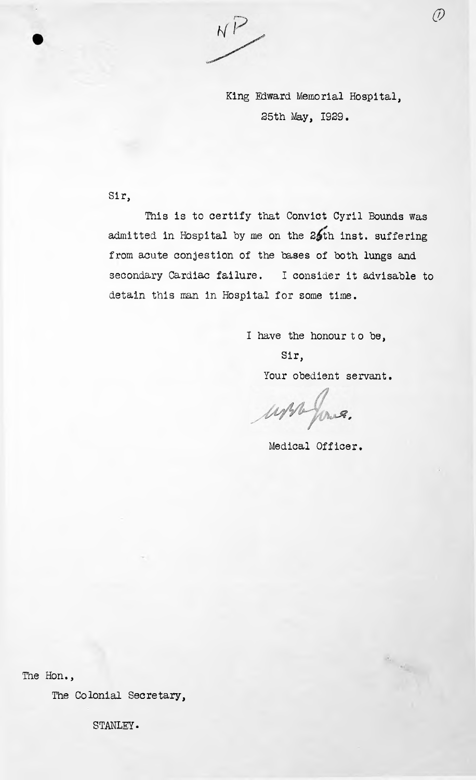NP

King Edward Memorial Hospital, 25th May, 1929.

*&*

## Sir,

secondary Cardiac failure. <sup>I</sup> consider it advisable to detain this man in Hospital for some time. This is to certify that Convict Cyril Bounds was admitted in Hospital by me on the 25th inst. suffering from acute conjestion of the bases of both lungs and

<sup>I</sup> have the honour to be,

Your obedient servant. Sir,

ussa four.

Medical Officer.

The Hon.,

The Colonial Secretary,

STANLEY.